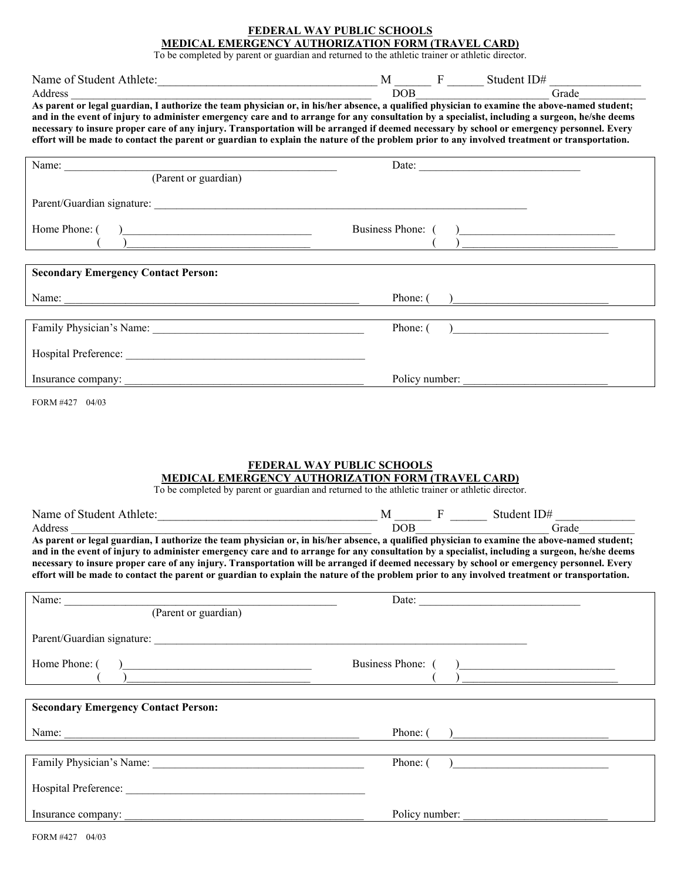### **FEDERAL WAY PUBLIC SCHOOLS MEDICAL EMERGENCY AUTHORIZATION FORM (TRAVEL CARD)**

To be completed by parent or guardian and returned to the athletic trainer or athletic director.

| Name of Student Athlete:                                                                                                                      |     | Student $ID#$ |
|-----------------------------------------------------------------------------------------------------------------------------------------------|-----|---------------|
| Address                                                                                                                                       | DOB | Frade         |
| As parent or legal guardian, I authorize the team physician or, in his/her absence, a qualified physician to examine the above-named student; |     |               |

**and in the event of injury to administer emergency care and to arrange for any consultation by a specialist, including a surgeon, he/she deems necessary to insure proper care of any injury. Transportation will be arranged if deemed necessary by school or emergency personnel. Every effort will be made to contact the parent or guardian to explain the nature of the problem prior to any involved treatment or transportation.** 

| Name:                                                      | Date:                                                           |
|------------------------------------------------------------|-----------------------------------------------------------------|
| (Parent or guardian)                                       |                                                                 |
|                                                            |                                                                 |
| Home Phone: $\begin{pmatrix} 1 & 1 \\ 1 & 1 \end{pmatrix}$ | Business Phone: ()<br>) ____________ <del>_________</del> _     |
|                                                            |                                                                 |
| <b>Secondary Emergency Contact Person:</b>                 |                                                                 |
|                                                            | Phone: $\begin{pmatrix} 1 & 1 \\ 1 & 1 \end{pmatrix}$           |
|                                                            | Phone: (<br>) and the contract of the contract of $\mathcal{L}$ |
|                                                            |                                                                 |
|                                                            |                                                                 |
| Insurance company:                                         | Policy number:                                                  |

FORM #427 04/03

### **FEDERAL WAY PUBLIC SCHOOLS**

# **MEDICAL EMERGENCY AUTHORIZATION FORM (TRAVEL CARD)**

To be completed by parent or guardian and returned to the athletic trainer or athletic director.

| Name of Student Athlete:                                                                                                                       |     |  | Student ID# |
|------------------------------------------------------------------------------------------------------------------------------------------------|-----|--|-------------|
| Address                                                                                                                                        | DOB |  | Grade       |
| As parent or legal guardian, I authorize the team physician or, in his/her absence, a qualified physician to examine the above-named student;  |     |  |             |
| and in the event of injury to administer emergency care and to arrange for any consultation by a specialist, including a surgeon, he/she deems |     |  |             |
| necessary to insure proper care of any injury. Transportation will be arranged if deemed necessary by school or emergency personnel. Every     |     |  |             |
| effort will be made to contact the parent or guardian to explain the nature of the problem prior to any involved treatment or transportation.  |     |  |             |

| Name: <u>(Parent or guardian)</u>                                                                                                                                                                                                                                                                                                                                                     | Date:                                                                                                                                                                                                                                                                                                                                                                     |
|---------------------------------------------------------------------------------------------------------------------------------------------------------------------------------------------------------------------------------------------------------------------------------------------------------------------------------------------------------------------------------------|---------------------------------------------------------------------------------------------------------------------------------------------------------------------------------------------------------------------------------------------------------------------------------------------------------------------------------------------------------------------------|
|                                                                                                                                                                                                                                                                                                                                                                                       |                                                                                                                                                                                                                                                                                                                                                                           |
|                                                                                                                                                                                                                                                                                                                                                                                       |                                                                                                                                                                                                                                                                                                                                                                           |
| Home Phone: ()<br>$\begin{picture}(20,10) \put(0,0){\vector(1,0){100}} \put(15,0){\vector(1,0){100}} \put(15,0){\vector(1,0){100}} \put(15,0){\vector(1,0){100}} \put(15,0){\vector(1,0){100}} \put(15,0){\vector(1,0){100}} \put(15,0){\vector(1,0){100}} \put(15,0){\vector(1,0){100}} \put(15,0){\vector(1,0){100}} \put(15,0){\vector(1,0){100}} \put(15,0){\vector(1,0){100}} \$ | Business Phone: ()<br>$\begin{picture}(20,10) \put(0,0){\line(1,0){10}} \put(15,0){\line(1,0){10}} \put(15,0){\line(1,0){10}} \put(15,0){\line(1,0){10}} \put(15,0){\line(1,0){10}} \put(15,0){\line(1,0){10}} \put(15,0){\line(1,0){10}} \put(15,0){\line(1,0){10}} \put(15,0){\line(1,0){10}} \put(15,0){\line(1,0){10}} \put(15,0){\line(1,0){10}} \put(15,0){\line(1$ |
|                                                                                                                                                                                                                                                                                                                                                                                       |                                                                                                                                                                                                                                                                                                                                                                           |
| <b>Secondary Emergency Contact Person:</b>                                                                                                                                                                                                                                                                                                                                            |                                                                                                                                                                                                                                                                                                                                                                           |
|                                                                                                                                                                                                                                                                                                                                                                                       | Phone: $\begin{pmatrix} 1 & 1 \\ 1 & 1 \end{pmatrix}$                                                                                                                                                                                                                                                                                                                     |
|                                                                                                                                                                                                                                                                                                                                                                                       |                                                                                                                                                                                                                                                                                                                                                                           |
|                                                                                                                                                                                                                                                                                                                                                                                       | Phone: $( )$                                                                                                                                                                                                                                                                                                                                                              |
| Hospital Preference:                                                                                                                                                                                                                                                                                                                                                                  |                                                                                                                                                                                                                                                                                                                                                                           |
|                                                                                                                                                                                                                                                                                                                                                                                       | Policy number:                                                                                                                                                                                                                                                                                                                                                            |